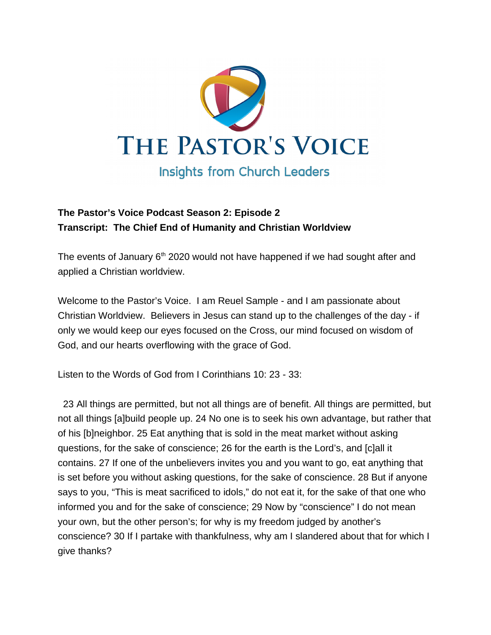

## **The Pastor's Voice Podcast Season 2: Episode 2 Transcript: The Chief End of Humanity and Christian Worldview**

The events of January  $6<sup>th</sup>$  2020 would not have happened if we had sought after and applied a Christian worldview.

Welcome to the Pastor's Voice. I am Reuel Sample - and I am passionate about Christian Worldview. Believers in Jesus can stand up to the challenges of the day - if only we would keep our eyes focused on the Cross, our mind focused on wisdom of God, and our hearts overflowing with the grace of God.

Listen to the Words of God from I Corinthians 10: 23 - 33:

 23 All things are permitted, but not all things are of benefit. All things are permitted, but not all things [a]build people up. 24 No one is to seek his own advantage, but rather that of his [b]neighbor. 25 Eat anything that is sold in the meat market without asking questions, for the sake of conscience; 26 for the earth is the Lord's, and [c]all it contains. 27 If one of the unbelievers invites you and you want to go, eat anything that is set before you without asking questions, for the sake of conscience. 28 But if anyone says to you, "This is meat sacrificed to idols," do not eat it, for the sake of that one who informed you and for the sake of conscience; 29 Now by "conscience" I do not mean your own, but the other person's; for why is my freedom judged by another's conscience? 30 If I partake with thankfulness, why am I slandered about that for which I give thanks?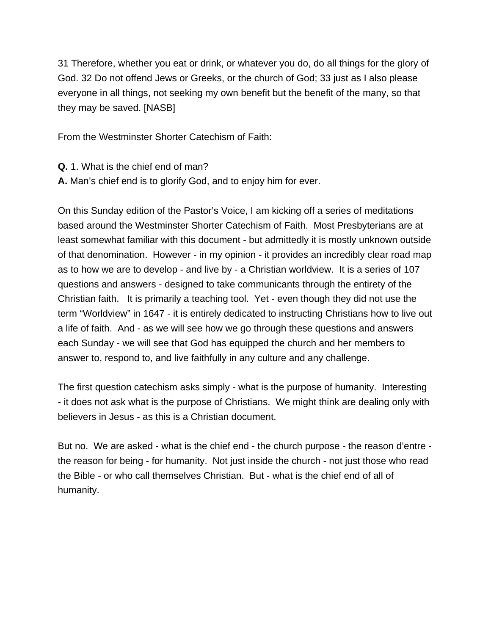31 Therefore, whether you eat or drink, or whatever you do, do all things for the glory of God. 32 Do not offend Jews or Greeks, or the church of God; 33 just as I also please everyone in all things, not seeking my own benefit but the benefit of the many, so that they may be saved. [NASB]

From the Westminster Shorter Catechism of Faith:

**Q.** 1. What is the chief end of man?

**A.** Man's chief end is to glorify God, and to enjoy him for ever.

On this Sunday edition of the Pastor's Voice, I am kicking off a series of meditations based around the Westminster Shorter Catechism of Faith. Most Presbyterians are at least somewhat familiar with this document - but admittedly it is mostly unknown outside of that denomination. However - in my opinion - it provides an incredibly clear road map as to how we are to develop - and live by - a Christian worldview. It is a series of 107 questions and answers - designed to take communicants through the entirety of the Christian faith. It is primarily a teaching tool. Yet - even though they did not use the term "Worldview" in 1647 - it is entirely dedicated to instructing Christians how to live out a life of faith. And - as we will see how we go through these questions and answers each Sunday - we will see that God has equipped the church and her members to answer to, respond to, and live faithfully in any culture and any challenge.

The first question catechism asks simply - what is the purpose of humanity. Interesting - it does not ask what is the purpose of Christians. We might think are dealing only with believers in Jesus - as this is a Christian document.

But no. We are asked - what is the chief end - the church purpose - the reason d'entre the reason for being - for humanity. Not just inside the church - not just those who read the Bible - or who call themselves Christian. But - what is the chief end of all of humanity.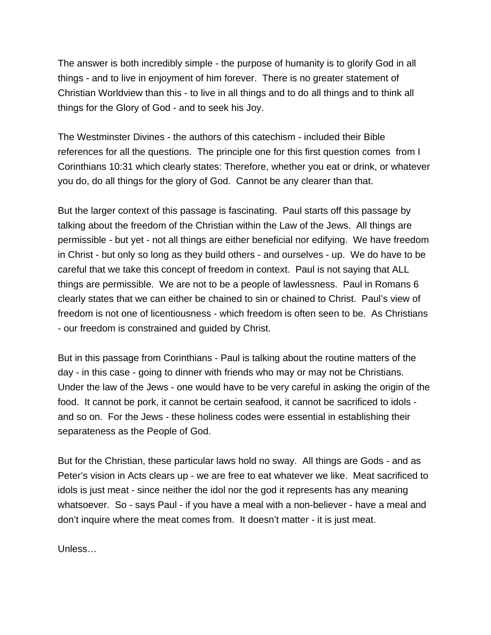The answer is both incredibly simple - the purpose of humanity is to glorify God in all things - and to live in enjoyment of him forever. There is no greater statement of Christian Worldview than this - to live in all things and to do all things and to think all things for the Glory of God - and to seek his Joy.

The Westminster Divines - the authors of this catechism - included their Bible references for all the questions. The principle one for this first question comes from I Corinthians 10:31 which clearly states: Therefore, whether you eat or drink, or whatever you do, do all things for the glory of God. Cannot be any clearer than that.

But the larger context of this passage is fascinating. Paul starts off this passage by talking about the freedom of the Christian within the Law of the Jews. All things are permissible - but yet - not all things are either beneficial nor edifying. We have freedom in Christ - but only so long as they build others - and ourselves - up. We do have to be careful that we take this concept of freedom in context. Paul is not saying that ALL things are permissible. We are not to be a people of lawlessness. Paul in Romans 6 clearly states that we can either be chained to sin or chained to Christ. Paul's view of freedom is not one of licentiousness - which freedom is often seen to be. As Christians - our freedom is constrained and guided by Christ.

But in this passage from Corinthians - Paul is talking about the routine matters of the day - in this case - going to dinner with friends who may or may not be Christians. Under the law of the Jews - one would have to be very careful in asking the origin of the food. It cannot be pork, it cannot be certain seafood, it cannot be sacrificed to idols and so on. For the Jews - these holiness codes were essential in establishing their separateness as the People of God.

But for the Christian, these particular laws hold no sway. All things are Gods - and as Peter's vision in Acts clears up - we are free to eat whatever we like. Meat sacrificed to idols is just meat - since neither the idol nor the god it represents has any meaning whatsoever. So - says Paul - if you have a meal with a non-believer - have a meal and don't inquire where the meat comes from. It doesn't matter - it is just meat.

Unless…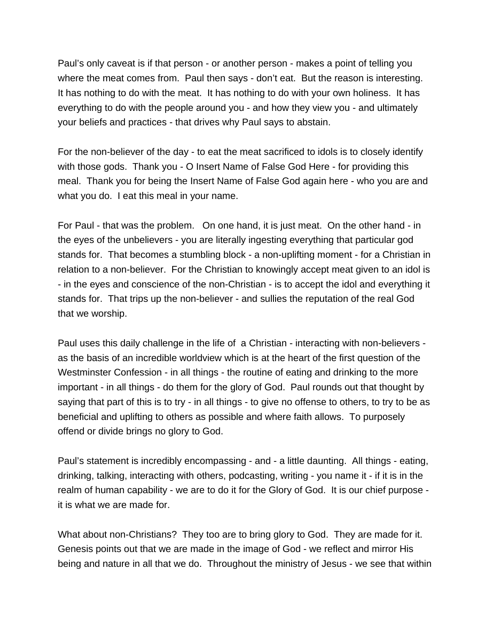Paul's only caveat is if that person - or another person - makes a point of telling you where the meat comes from. Paul then says - don't eat. But the reason is interesting. It has nothing to do with the meat. It has nothing to do with your own holiness. It has everything to do with the people around you - and how they view you - and ultimately your beliefs and practices - that drives why Paul says to abstain.

For the non-believer of the day - to eat the meat sacrificed to idols is to closely identify with those gods. Thank you - O Insert Name of False God Here - for providing this meal. Thank you for being the Insert Name of False God again here - who you are and what you do. I eat this meal in your name.

For Paul - that was the problem. On one hand, it is just meat. On the other hand - in the eyes of the unbelievers - you are literally ingesting everything that particular god stands for. That becomes a stumbling block - a non-uplifting moment - for a Christian in relation to a non-believer. For the Christian to knowingly accept meat given to an idol is - in the eyes and conscience of the non-Christian - is to accept the idol and everything it stands for. That trips up the non-believer - and sullies the reputation of the real God that we worship.

Paul uses this daily challenge in the life of a Christian - interacting with non-believers as the basis of an incredible worldview which is at the heart of the first question of the Westminster Confession - in all things - the routine of eating and drinking to the more important - in all things - do them for the glory of God. Paul rounds out that thought by saying that part of this is to try - in all things - to give no offense to others, to try to be as beneficial and uplifting to others as possible and where faith allows. To purposely offend or divide brings no glory to God.

Paul's statement is incredibly encompassing - and - a little daunting. All things - eating, drinking, talking, interacting with others, podcasting, writing - you name it - if it is in the realm of human capability - we are to do it for the Glory of God. It is our chief purpose it is what we are made for.

What about non-Christians? They too are to bring glory to God. They are made for it. Genesis points out that we are made in the image of God - we reflect and mirror His being and nature in all that we do. Throughout the ministry of Jesus - we see that within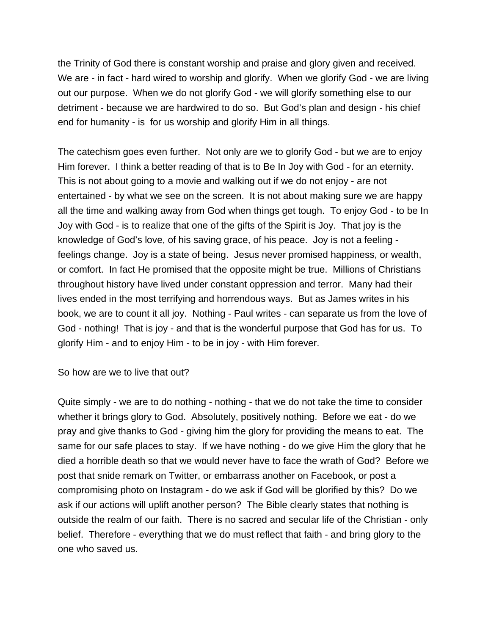the Trinity of God there is constant worship and praise and glory given and received. We are - in fact - hard wired to worship and glorify. When we glorify God - we are living out our purpose. When we do not glorify God - we will glorify something else to our detriment - because we are hardwired to do so. But God's plan and design - his chief end for humanity - is for us worship and glorify Him in all things.

The catechism goes even further. Not only are we to glorify God - but we are to enjoy Him forever. I think a better reading of that is to Be In Joy with God - for an eternity. This is not about going to a movie and walking out if we do not enjoy - are not entertained - by what we see on the screen. It is not about making sure we are happy all the time and walking away from God when things get tough. To enjoy God - to be In Joy with God - is to realize that one of the gifts of the Spirit is Joy. That joy is the knowledge of God's love, of his saving grace, of his peace. Joy is not a feeling feelings change. Joy is a state of being. Jesus never promised happiness, or wealth, or comfort. In fact He promised that the opposite might be true. Millions of Christians throughout history have lived under constant oppression and terror. Many had their lives ended in the most terrifying and horrendous ways. But as James writes in his book, we are to count it all joy. Nothing - Paul writes - can separate us from the love of God - nothing! That is joy - and that is the wonderful purpose that God has for us. To glorify Him - and to enjoy Him - to be in joy - with Him forever.

So how are we to live that out?

Quite simply - we are to do nothing - nothing - that we do not take the time to consider whether it brings glory to God. Absolutely, positively nothing. Before we eat - do we pray and give thanks to God - giving him the glory for providing the means to eat. The same for our safe places to stay. If we have nothing - do we give Him the glory that he died a horrible death so that we would never have to face the wrath of God? Before we post that snide remark on Twitter, or embarrass another on Facebook, or post a compromising photo on Instagram - do we ask if God will be glorified by this? Do we ask if our actions will uplift another person? The Bible clearly states that nothing is outside the realm of our faith. There is no sacred and secular life of the Christian - only belief. Therefore - everything that we do must reflect that faith - and bring glory to the one who saved us.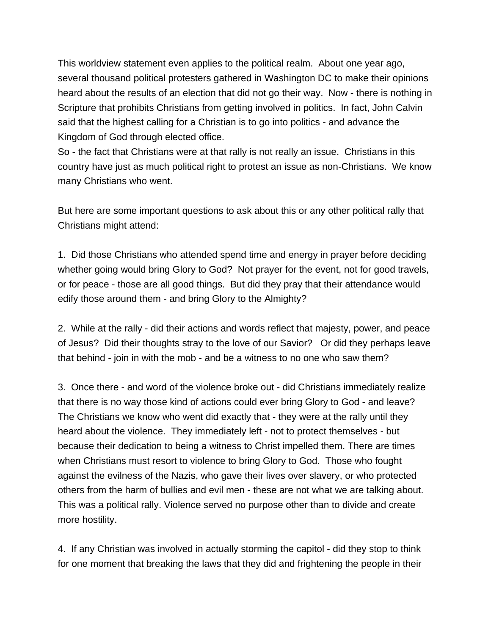This worldview statement even applies to the political realm. About one year ago, several thousand political protesters gathered in Washington DC to make their opinions heard about the results of an election that did not go their way. Now - there is nothing in Scripture that prohibits Christians from getting involved in politics. In fact, John Calvin said that the highest calling for a Christian is to go into politics - and advance the Kingdom of God through elected office.

So - the fact that Christians were at that rally is not really an issue. Christians in this country have just as much political right to protest an issue as non-Christians. We know many Christians who went.

But here are some important questions to ask about this or any other political rally that Christians might attend:

1. Did those Christians who attended spend time and energy in prayer before deciding whether going would bring Glory to God? Not prayer for the event, not for good travels, or for peace - those are all good things. But did they pray that their attendance would edify those around them - and bring Glory to the Almighty?

2. While at the rally - did their actions and words reflect that majesty, power, and peace of Jesus? Did their thoughts stray to the love of our Savior? Or did they perhaps leave that behind - join in with the mob - and be a witness to no one who saw them?

3. Once there - and word of the violence broke out - did Christians immediately realize that there is no way those kind of actions could ever bring Glory to God - and leave? The Christians we know who went did exactly that - they were at the rally until they heard about the violence. They immediately left - not to protect themselves - but because their dedication to being a witness to Christ impelled them. There are times when Christians must resort to violence to bring Glory to God. Those who fought against the evilness of the Nazis, who gave their lives over slavery, or who protected others from the harm of bullies and evil men - these are not what we are talking about. This was a political rally. Violence served no purpose other than to divide and create more hostility.

4. If any Christian was involved in actually storming the capitol - did they stop to think for one moment that breaking the laws that they did and frightening the people in their